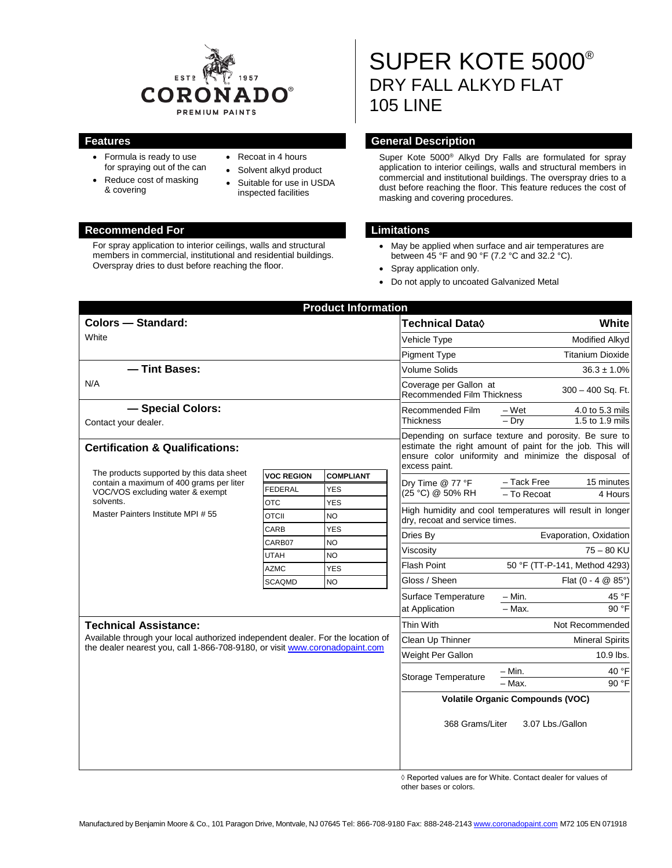

- Formula is ready to use for spraying out of the can
- Reduce cost of masking & covering
- Recoat in 4 hours
- Solvent alkyd product
- Suitable for use in USDA inspected facilities

### **Recommended For Limitations**

For spray application to interior ceilings, walls and structural members in commercial, institutional and residential buildings. Overspray dries to dust before reaching the floor.

# SUPER KOTE 5000® DRY FALL ALKYD FLAT 105 LINE

# **Features General Description**

Super Kote 5000® Alkyd Dry Falls are formulated for spray application to interior ceilings, walls and structural members in commercial and institutional buildings. The overspray dries to a dust before reaching the floor. This feature reduces the cost of masking and covering procedures.

- May be applied when surface and air temperatures are between 45 °F and 90 °F (7.2 °C and 32.2 °C).
- Spray application only.
- Do not apply to uncoated Galvanized Metal

| <b>Product Information</b>                                                                                                      |                   |                         |                                                                                                                                                                                             |                                                                         |                                                           |  |
|---------------------------------------------------------------------------------------------------------------------------------|-------------------|-------------------------|---------------------------------------------------------------------------------------------------------------------------------------------------------------------------------------------|-------------------------------------------------------------------------|-----------------------------------------------------------|--|
| <b>Colors - Standard:</b>                                                                                                       |                   |                         | <b>Technical Data</b> ◊                                                                                                                                                                     | White                                                                   |                                                           |  |
| White                                                                                                                           |                   |                         | Vehicle Type                                                                                                                                                                                | <b>Modified Alkyd</b>                                                   |                                                           |  |
|                                                                                                                                 |                   |                         | <b>Pigment Type</b>                                                                                                                                                                         |                                                                         | <b>Titanium Dioxide</b>                                   |  |
| - Tint Bases:                                                                                                                   |                   |                         | Volume Solids                                                                                                                                                                               | $36.3 \pm 1.0\%$                                                        |                                                           |  |
| N/A                                                                                                                             |                   |                         | Coverage per Gallon at<br><b>Recommended Film Thickness</b>                                                                                                                                 | 300 - 400 Sq. Ft.                                                       |                                                           |  |
| - Special Colors:                                                                                                               |                   |                         | Recommended Film<br><b>Thickness</b>                                                                                                                                                        | – Wet                                                                   | 4.0 to 5.3 mils                                           |  |
| Contact your dealer.                                                                                                            |                   |                         |                                                                                                                                                                                             | $-$ Dry                                                                 | 1.5 to 1.9 mils                                           |  |
| <b>Certification &amp; Qualifications:</b><br>The products supported by this data sheet                                         |                   |                         | Depending on surface texture and porosity. Be sure to<br>estimate the right amount of paint for the job. This will<br>ensure color uniformity and minimize the disposal of<br>excess paint. |                                                                         |                                                           |  |
| contain a maximum of 400 grams per liter<br>VOC/VOS excluding water & exempt<br>solvents.<br>Master Painters Institute MPI # 55 | <b>VOC REGION</b> | <b>COMPLIANT</b>        | Dry Time @ 77 °F<br>(25 °C) @ 50% RH                                                                                                                                                        | - Tack Free                                                             | 15 minutes                                                |  |
|                                                                                                                                 | <b>FEDERAL</b>    | <b>YES</b>              |                                                                                                                                                                                             | - To Recoat                                                             | 4 Hours                                                   |  |
|                                                                                                                                 | <b>OTC</b>        | <b>YES</b>              |                                                                                                                                                                                             |                                                                         | High humidity and cool temperatures will result in longer |  |
|                                                                                                                                 | <b>OTCII</b>      | <b>NO</b>               | dry, recoat and service times.                                                                                                                                                              |                                                                         |                                                           |  |
|                                                                                                                                 | CARB<br>CARB07    | <b>YES</b><br><b>NO</b> | Dries By                                                                                                                                                                                    | Evaporation, Oxidation<br>$75 - 80$ KU<br>50 °F (TT-P-141, Method 4293) |                                                           |  |
|                                                                                                                                 | <b>UTAH</b>       | <b>NO</b>               | Viscosity                                                                                                                                                                                   |                                                                         |                                                           |  |
|                                                                                                                                 | <b>AZMC</b>       | <b>YES</b>              | <b>Flash Point</b>                                                                                                                                                                          |                                                                         |                                                           |  |
|                                                                                                                                 | <b>SCAQMD</b>     | <b>NO</b>               | Gloss / Sheen                                                                                                                                                                               | Flat $(0 - 4 \ 2 \ 85^{\circ})$                                         |                                                           |  |
|                                                                                                                                 |                   |                         | Surface Temperature                                                                                                                                                                         | – Min.                                                                  | 45 °F                                                     |  |
|                                                                                                                                 |                   |                         | at Application                                                                                                                                                                              | $-$ Max.                                                                | 90 °F                                                     |  |
| <b>Technical Assistance:</b>                                                                                                    |                   |                         | Thin With                                                                                                                                                                                   |                                                                         | Not Recommended                                           |  |
| Available through your local authorized independent dealer. For the location of                                                 |                   |                         | Clean Up Thinner                                                                                                                                                                            | <b>Mineral Spirits</b>                                                  |                                                           |  |
| the dealer nearest you, call 1-866-708-9180, or visit www.coronadopaint.com                                                     |                   |                         | Weight Per Gallon                                                                                                                                                                           |                                                                         | 10.9 lbs.                                                 |  |
|                                                                                                                                 |                   |                         | <b>Storage Temperature</b>                                                                                                                                                                  | - Min.                                                                  | 40 °F                                                     |  |
|                                                                                                                                 |                   |                         |                                                                                                                                                                                             | $-$ Max.                                                                | 90 °F                                                     |  |
|                                                                                                                                 |                   |                         | <b>Volatile Organic Compounds (VOC)</b>                                                                                                                                                     |                                                                         |                                                           |  |
|                                                                                                                                 |                   |                         | 368 Grams/Liter<br>3.07 Lbs./Gallon                                                                                                                                                         |                                                                         |                                                           |  |

 ◊ Reported values are for White. Contact dealer for values of other bases or colors.